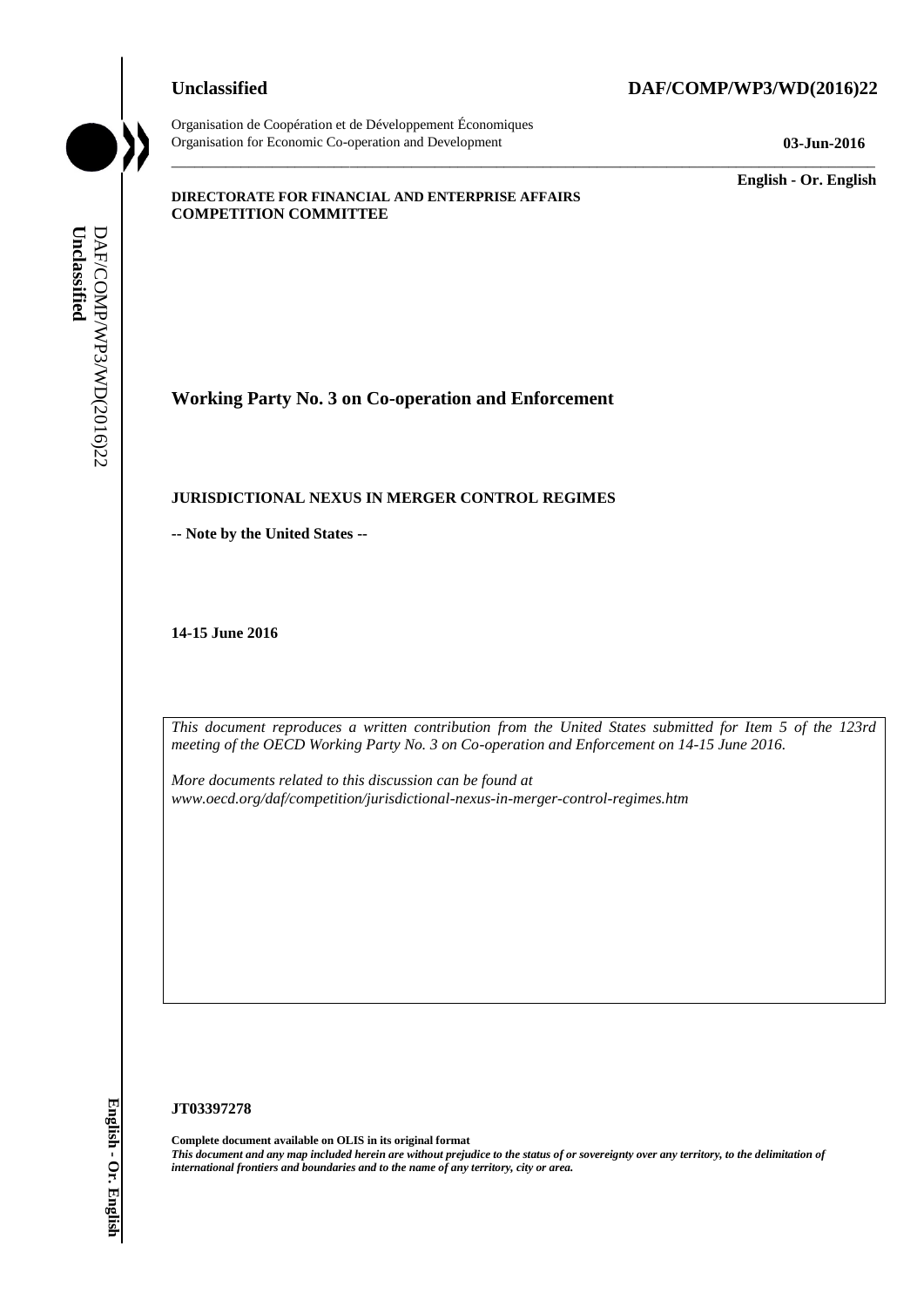Organisation de Coopération et de Développement Économiques Organisation for Economic Co-operation and Development **03-Jun-2016**

# **Unclassified DAF/COMP/WP3/WD(2016)22**

Unclassified DAF/COMP/WP3/WD(2016)22 DAF/COMP/WP3/WD(2016)22 **Unclassified**

\_\_\_\_\_\_\_\_\_\_\_\_\_ **English - Or. English**

## **DIRECTORATE FOR FINANCIAL AND ENTERPRISE AFFAIRS COMPETITION COMMITTEE**

**Working Party No. 3 on Co-operation and Enforcement**

## **JURISDICTIONAL NEXUS IN MERGER CONTROL REGIMES**

**-- Note by the United States --**

**14-15 June 2016**

*This document reproduces a written contribution from the United States submitted for Item 5 of the 123rd meeting of the OECD Working Party No. 3 on Co-operation and Enforcement on 14-15 June 2016.* 

\_\_\_\_\_\_\_\_\_\_\_\_\_\_\_\_\_\_\_\_\_\_\_\_\_\_\_\_\_\_\_\_\_\_\_\_\_\_\_\_\_\_\_\_\_\_\_\_\_\_\_\_\_\_\_\_\_\_\_\_\_\_\_\_\_\_\_\_\_\_\_\_\_\_\_\_\_\_\_\_\_\_\_\_\_\_\_\_\_\_\_

*More documents related to this discussion can be found at www.oecd.org/daf/competition/jurisdictional-nexus-in-merger-control-regimes.htm*

### **JT03397278**

**Complete document available on OLIS in its original format** *This document and any map included herein are without prejudice to the status of or sovereignty over any territory, to the delimitation of international frontiers and boundaries and to the name of any territory, city or area.*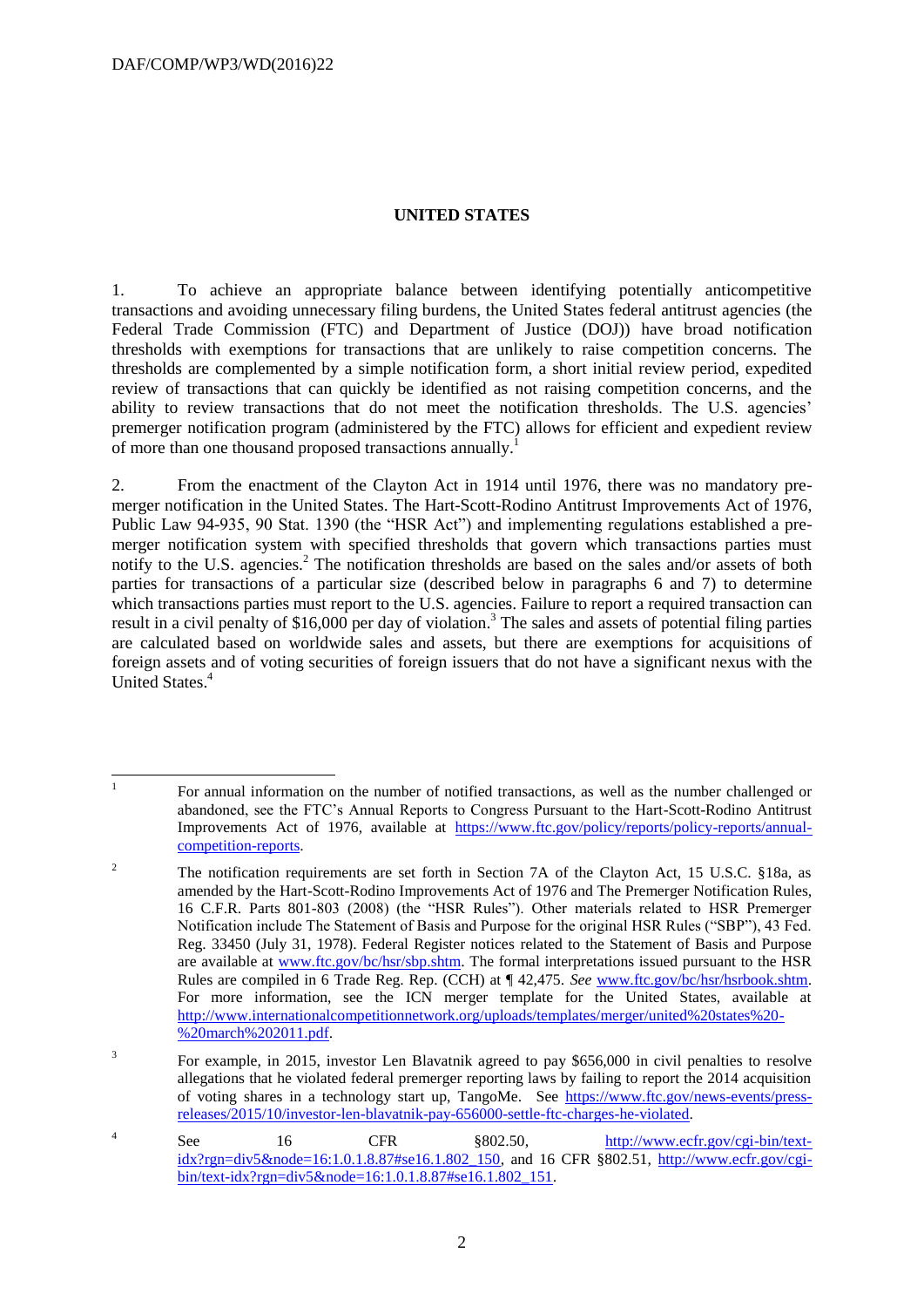## **UNITED STATES**

1. To achieve an appropriate balance between identifying potentially anticompetitive transactions and avoiding unnecessary filing burdens, the United States federal antitrust agencies (the Federal Trade Commission (FTC) and Department of Justice (DOJ)) have broad notification thresholds with exemptions for transactions that are unlikely to raise competition concerns. The thresholds are complemented by a simple notification form, a short initial review period, expedited review of transactions that can quickly be identified as not raising competition concerns, and the ability to review transactions that do not meet the notification thresholds. The U.S. agencies' premerger notification program (administered by the FTC) allows for efficient and expedient review of more than one thousand proposed transactions annually.<sup>1</sup>

2. From the enactment of the Clayton Act in 1914 until 1976, there was no mandatory premerger notification in the United States. The Hart-Scott-Rodino Antitrust Improvements Act of 1976, Public Law 94-935, 90 Stat. 1390 (the "HSR Act") and implementing regulations established a premerger notification system with specified thresholds that govern which transactions parties must notify to the U.S. agencies.<sup>2</sup> The notification thresholds are based on the sales and/or assets of both parties for transactions of a particular size (described below in paragraphs 6 and 7) to determine which transactions parties must report to the U.S. agencies. Failure to report a required transaction can result in a civil penalty of \$16,000 per day of violation.<sup>3</sup> The sales and assets of potential filing parties are calculated based on worldwide sales and assets, but there are exemptions for acquisitions of foreign assets and of voting securities of foreign issuers that do not have a significant nexus with the United States. 4

 $\frac{1}{1}$ For annual information on the number of notified transactions, as well as the number challenged or abandoned, see the FTC's Annual Reports to Congress Pursuant to the Hart-Scott-Rodino Antitrust Improvements Act of 1976, available at [https://www.ftc.gov/policy/reports/policy-reports/annual](https://www.ftc.gov/policy/reports/policy-reports/annual-competition-reports)[competition-reports.](https://www.ftc.gov/policy/reports/policy-reports/annual-competition-reports) 

<sup>&</sup>lt;sup>2</sup> The notification requirements are set forth in Section 7A of the Clayton Act, 15 U.S.C. §18a, as amended by the Hart-Scott-Rodino Improvements Act of 1976 and The Premerger Notification Rules, 16 C.F.R. Parts 801-803 (2008) (the "HSR Rules"). Other materials related to HSR Premerger Notification include The Statement of Basis and Purpose for the original HSR Rules ("SBP"), 43 Fed. Reg. 33450 (July 31, 1978). Federal Register notices related to the Statement of Basis and Purpose are available at [www.ftc.gov/bc/hsr/sbp.shtm.](http://www.ftc.gov/bc/hsr/sbp.shtm) The formal interpretations issued pursuant to the HSR Rules are compiled in 6 Trade Reg. Rep. (CCH) at ¶ 42,475. *See* [www.ftc.gov/bc/hsr/hsrbook.shtm.](http://www.ftc.gov/bc/hsr/hsrbook.shtm) For more information, see the ICN merger template for the United States, available at [http://www.internationalcompetitionnetwork.org/uploads/templates/merger/united%20states%20-](http://www.internationalcompetitionnetwork.org/uploads/templates/merger/united%20states%20-%20march%202011.pdf) [%20march%202011.pdf.](http://www.internationalcompetitionnetwork.org/uploads/templates/merger/united%20states%20-%20march%202011.pdf)

<sup>3</sup> For example, in 2015, investor Len Blavatnik agreed to pay \$656,000 in civil penalties to resolve allegations that he violated federal premerger reporting laws by failing to report the 2014 acquisition of voting shares in a technology start up, TangoMe. See [https://www.ftc.gov/news-events/press](https://www.ftc.gov/news-events/press-releases/2015/10/investor-len-blavatnik-pay-656000-settle-ftc-charges-he-violated)[releases/2015/10/investor-len-blavatnik-pay-656000-settle-ftc-charges-he-violated.](https://www.ftc.gov/news-events/press-releases/2015/10/investor-len-blavatnik-pay-656000-settle-ftc-charges-he-violated) 

<sup>4</sup> See 16 CFR §802.50, [http://www.ecfr.gov/cgi-bin/text](http://www.ecfr.gov/cgi-bin/text-idx?rgn=div5&node=16:1.0.1.8.87#se16.1.802_150)[idx?rgn=div5&node=16:1.0.1.8.87#se16.1.802\\_150,](http://www.ecfr.gov/cgi-bin/text-idx?rgn=div5&node=16:1.0.1.8.87#se16.1.802_150) and 16 CFR §802.51, [http://www.ecfr.gov/cgi](http://www.ecfr.gov/cgi-bin/text-idx?rgn=div5&node=16:1.0.1.8.87#se16.1.802_151)[bin/text-idx?rgn=div5&node=16:1.0.1.8.87#se16.1.802\\_151.](http://www.ecfr.gov/cgi-bin/text-idx?rgn=div5&node=16:1.0.1.8.87#se16.1.802_151)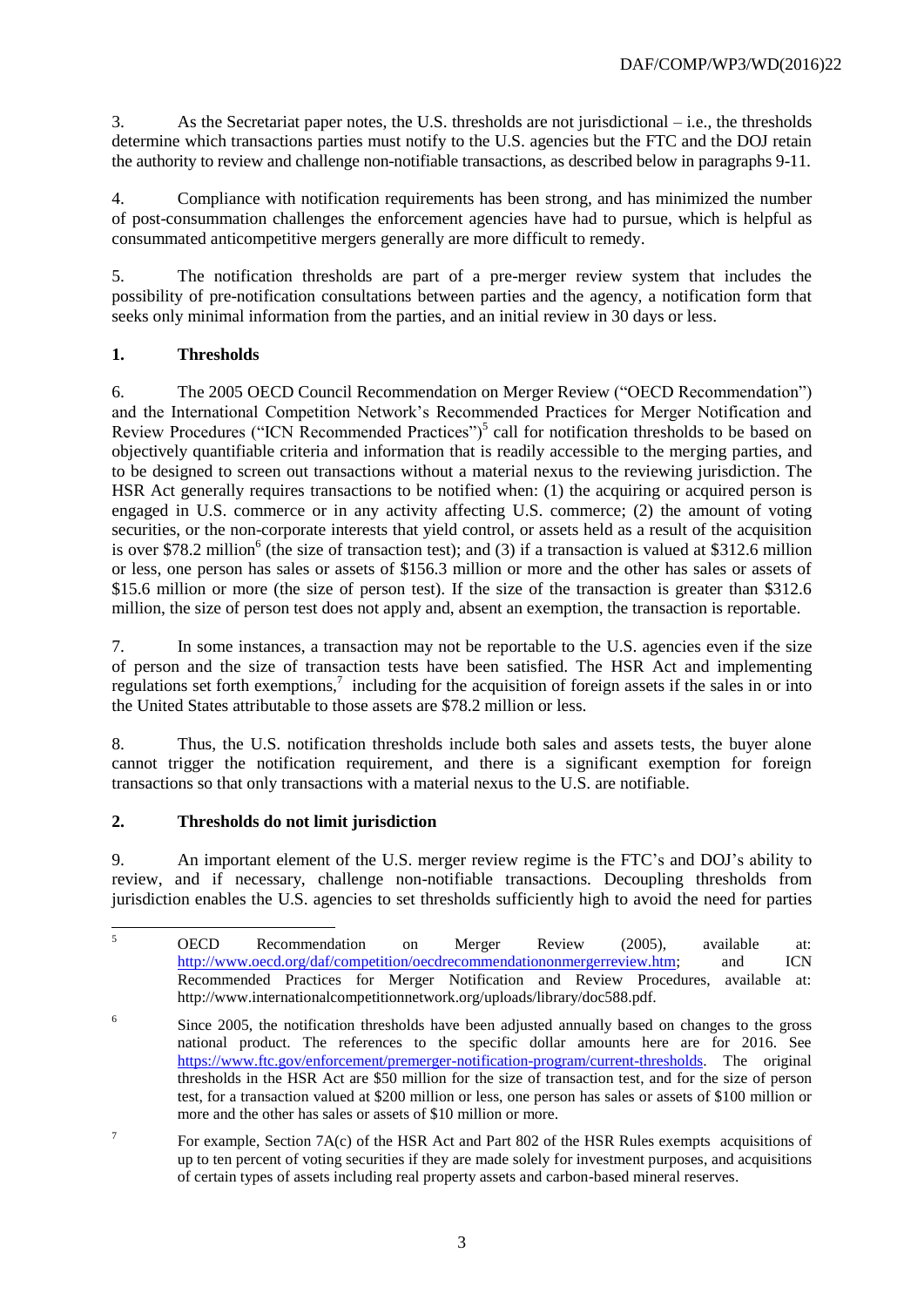3. As the Secretariat paper notes, the U.S. thresholds are not jurisdictional – i.e., the thresholds determine which transactions parties must notify to the U.S. agencies but the FTC and the DOJ retain the authority to review and challenge non-notifiable transactions, as described below in paragraphs 9-11.

4. Compliance with notification requirements has been strong, and has minimized the number of post-consummation challenges the enforcement agencies have had to pursue, which is helpful as consummated anticompetitive mergers generally are more difficult to remedy.

5. The notification thresholds are part of a pre-merger review system that includes the possibility of pre-notification consultations between parties and the agency, a notification form that seeks only minimal information from the parties, and an initial review in 30 days or less.

# **1. Thresholds**

6. The 2005 OECD Council Recommendation on Merger Review ("OECD Recommendation") and the International Competition Network's Recommended Practices for Merger Notification and Review Procedures ("ICN Recommended Practices")<sup>5</sup> call for notification thresholds to be based on objectively quantifiable criteria and information that is readily accessible to the merging parties, and to be designed to screen out transactions without a material nexus to the reviewing jurisdiction. The HSR Act generally requires transactions to be notified when: (1) the acquiring or acquired person is engaged in U.S. commerce or in any activity affecting U.S. commerce; (2) the amount of voting securities, or the non-corporate interests that yield control, or assets held as a result of the acquisition is over \$78.2 million<sup>6</sup> (the size of transaction test); and (3) if a transaction is valued at \$312.6 million or less, one person has sales or assets of \$156.3 million or more and the other has sales or assets of \$15.6 million or more (the size of person test). If the size of the transaction is greater than \$312.6 million, the size of person test does not apply and, absent an exemption, the transaction is reportable.

7. In some instances, a transaction may not be reportable to the U.S. agencies even if the size of person and the size of transaction tests have been satisfied. The HSR Act and implementing regulations set forth exemptions,<sup>7</sup> including for the acquisition of foreign assets if the sales in or into the United States attributable to those assets are \$78.2 million or less.

8. Thus, the U.S. notification thresholds include both sales and assets tests, the buyer alone cannot trigger the notification requirement, and there is a significant exemption for foreign transactions so that only transactions with a material nexus to the U.S. are notifiable.

# **2. Thresholds do not limit jurisdiction**

9. An important element of the U.S. merger review regime is the FTC's and DOJ's ability to review, and if necessary, challenge non-notifiable transactions. Decoupling thresholds from jurisdiction enables the U.S. agencies to set thresholds sufficiently high to avoid the need for parties

 $\overline{5}$ <sup>5</sup> OECD Recommendation on Merger Review (2005), available at: [http://www.oecd.org/daf/competition/oecdrecommendationonmergerreview.htm;](http://www.oecd.org/daf/competition/oecdrecommendationonmergerreview.htm) and ICN Recommended Practices for Merger Notification and Review Procedures, available at: http://www.internationalcompetitionnetwork.org/uploads/library/doc588.pdf.

<sup>6</sup> Since 2005, the notification thresholds have been adjusted annually based on changes to the gross national product. The references to the specific dollar amounts here are for 2016. See [https://www.ftc.gov/enforcement/premerger-notification-program/current-thresholds.](https://www.ftc.gov/enforcement/premerger-notification-program/current-thresholds) The original thresholds in the HSR Act are \$50 million for the size of transaction test, and for the size of person test, for a transaction valued at \$200 million or less, one person has sales or assets of \$100 million or more and the other has sales or assets of \$10 million or more.

<sup>7</sup> For example, Section 7A(c) of the HSR Act and Part 802 of the HSR Rules exempts acquisitions of up to ten percent of voting securities if they are made solely for investment purposes, and acquisitions of certain types of assets including real property assets and carbon-based mineral reserves.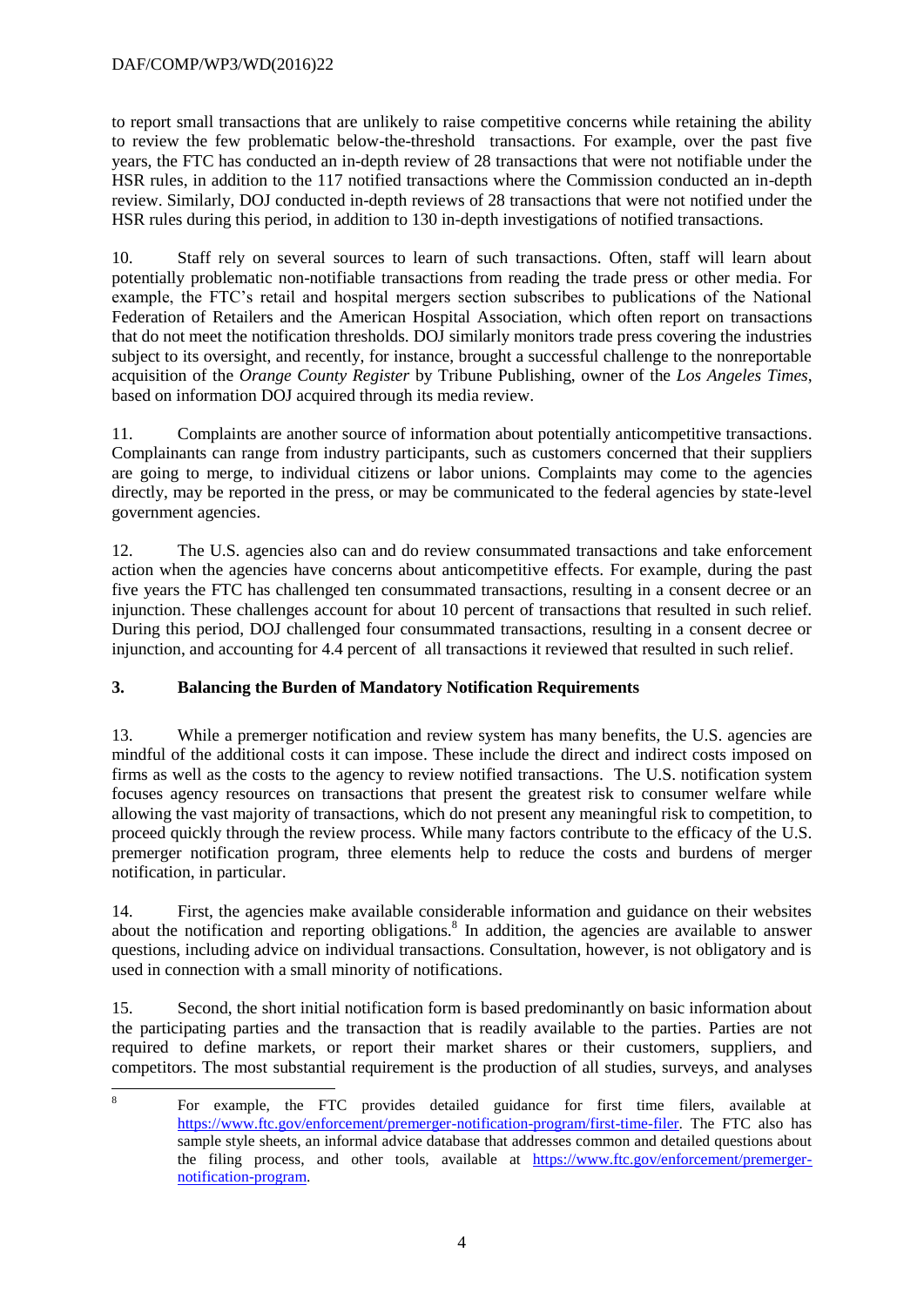# DAF/COMP/WP3/WD(2016)22

to report small transactions that are unlikely to raise competitive concerns while retaining the ability to review the few problematic below-the-threshold transactions. For example, over the past five years, the FTC has conducted an in-depth review of 28 transactions that were not notifiable under the HSR rules, in addition to the 117 notified transactions where the Commission conducted an in-depth review. Similarly, DOJ conducted in-depth reviews of 28 transactions that were not notified under the HSR rules during this period, in addition to 130 in-depth investigations of notified transactions.

10. Staff rely on several sources to learn of such transactions. Often, staff will learn about potentially problematic non-notifiable transactions from reading the trade press or other media. For example, the FTC's retail and hospital mergers section subscribes to publications of the National Federation of Retailers and the American Hospital Association, which often report on transactions that do not meet the notification thresholds. DOJ similarly monitors trade press covering the industries subject to its oversight, and recently, for instance, brought a successful challenge to the nonreportable acquisition of the *Orange County Register* by Tribune Publishing, owner of the *Los Angeles Times*, based on information DOJ acquired through its media review.

11. Complaints are another source of information about potentially anticompetitive transactions. Complainants can range from industry participants, such as customers concerned that their suppliers are going to merge, to individual citizens or labor unions. Complaints may come to the agencies directly, may be reported in the press, or may be communicated to the federal agencies by state-level government agencies.

12. The U.S. agencies also can and do review consummated transactions and take enforcement action when the agencies have concerns about anticompetitive effects. For example, during the past five years the FTC has challenged ten consummated transactions, resulting in a consent decree or an injunction. These challenges account for about 10 percent of transactions that resulted in such relief. During this period, DOJ challenged four consummated transactions, resulting in a consent decree or injunction, and accounting for 4.4 percent of all transactions it reviewed that resulted in such relief.

# **3. Balancing the Burden of Mandatory Notification Requirements**

13. While a premerger notification and review system has many benefits, the U.S. agencies are mindful of the additional costs it can impose. These include the direct and indirect costs imposed on firms as well as the costs to the agency to review notified transactions. The U.S. notification system focuses agency resources on transactions that present the greatest risk to consumer welfare while allowing the vast majority of transactions, which do not present any meaningful risk to competition, to proceed quickly through the review process. While many factors contribute to the efficacy of the U.S. premerger notification program, three elements help to reduce the costs and burdens of merger notification, in particular.

14. First, the agencies make available considerable information and guidance on their websites about the notification and reporting obligations.<sup>8</sup> In addition, the agencies are available to answer questions, including advice on individual transactions. Consultation, however, is not obligatory and is used in connection with a small minority of notifications.

15. Second, the short initial notification form is based predominantly on basic information about the participating parties and the transaction that is readily available to the parties. Parties are not required to define markets, or report their market shares or their customers, suppliers, and competitors. The most substantial requirement is the production of all studies, surveys, and analyses

 $\frac{1}{8}$ For example, the FTC provides detailed guidance for first time filers, available at [https://www.ftc.gov/enforcement/premerger-notification-program/first-time-filer.](https://www.ftc.gov/enforcement/premerger-notification-program/first-time-filer) The FTC also has sample style sheets, an informal advice database that addresses common and detailed questions about the filing process, and other tools, available at [https://www.ftc.gov/enforcement/premerger](https://www.ftc.gov/enforcement/premerger-notification-program)[notification-program.](https://www.ftc.gov/enforcement/premerger-notification-program)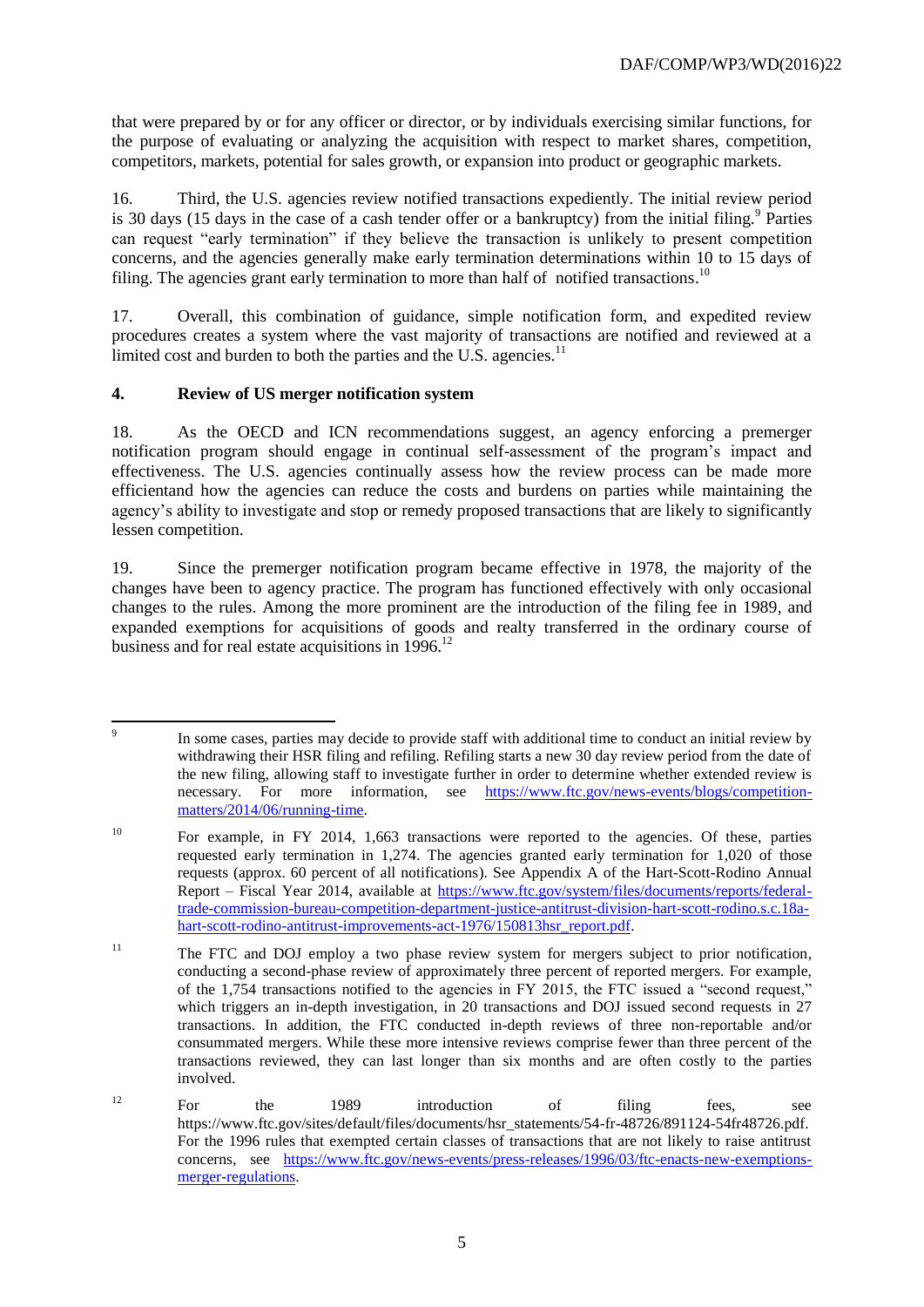that were prepared by or for any officer or director, or by individuals exercising similar functions, for the purpose of evaluating or analyzing the acquisition with respect to market shares, competition, competitors, markets, potential for sales growth, or expansion into product or geographic markets.

16. Third, the U.S. agencies review notified transactions expediently. The initial review period is 30 days (15 days in the case of a cash tender offer or a bankruptcy) from the initial filing.<sup>9</sup> Parties can request "early termination" if they believe the transaction is unlikely to present competition concerns, and the agencies generally make early termination determinations within 10 to 15 days of filing. The agencies grant early termination to more than half of notified transactions.<sup>10</sup>

17. Overall, this combination of guidance, simple notification form, and expedited review procedures creates a system where the vast majority of transactions are notified and reviewed at a limited cost and burden to both the parties and the U.S. agencies.<sup>11</sup>

# **4. Review of US merger notification system**

18. As the OECD and ICN recommendations suggest, an agency enforcing a premerger notification program should engage in continual self-assessment of the program's impact and effectiveness. The U.S. agencies continually assess how the review process can be made more efficientand how the agencies can reduce the costs and burdens on parties while maintaining the agency's ability to investigate and stop or remedy proposed transactions that are likely to significantly lessen competition.

19. Since the premerger notification program became effective in 1978, the majority of the changes have been to agency practice. The program has functioned effectively with only occasional changes to the rules. Among the more prominent are the introduction of the filing fee in 1989, and expanded exemptions for acquisitions of goods and realty transferred in the ordinary course of business and for real estate acquisitions in 1996.<sup>12</sup>

<sup>-&</sup>lt;br>9 In some cases, parties may decide to provide staff with additional time to conduct an initial review by withdrawing their HSR filing and refiling. Refiling starts a new 30 day review period from the date of the new filing, allowing staff to investigate further in order to determine whether extended review is necessary. For more information, see [https://www.ftc.gov/news-events/blogs/competition](https://www.ftc.gov/news-events/blogs/competition-matters/2014/06/running-time)[matters/2014/06/running-time.](https://www.ftc.gov/news-events/blogs/competition-matters/2014/06/running-time)

<sup>&</sup>lt;sup>10</sup> For example, in FY 2014, 1,663 transactions were reported to the agencies. Of these, parties requested early termination in 1,274. The agencies granted early termination for 1,020 of those requests (approx. 60 percent of all notifications). See Appendix A of the Hart-Scott-Rodino Annual Report – Fiscal Year 2014, available at [https://www.ftc.gov/system/files/documents/reports/federal](https://www.ftc.gov/system/files/documents/reports/federal-trade-commission-bureau-competition-department-justice-antitrust-division-hart-scott-rodino.s.c.18a-hart-scott-rodino-antitrust-improvements-act-1976/150813hsr_report.pdf)[trade-commission-bureau-competition-department-justice-antitrust-division-hart-scott-rodino.s.c.18a](https://www.ftc.gov/system/files/documents/reports/federal-trade-commission-bureau-competition-department-justice-antitrust-division-hart-scott-rodino.s.c.18a-hart-scott-rodino-antitrust-improvements-act-1976/150813hsr_report.pdf)[hart-scott-rodino-antitrust-improvements-act-1976/150813hsr\\_report.pdf.](https://www.ftc.gov/system/files/documents/reports/federal-trade-commission-bureau-competition-department-justice-antitrust-division-hart-scott-rodino.s.c.18a-hart-scott-rodino-antitrust-improvements-act-1976/150813hsr_report.pdf)

<sup>&</sup>lt;sup>11</sup> The FTC and DOJ employ a two phase review system for mergers subject to prior notification, conducting a second-phase review of approximately three percent of reported mergers. For example, of the 1,754 transactions notified to the agencies in FY 2015, the FTC issued a "second request," which triggers an in-depth investigation, in 20 transactions and DOJ issued second requests in 27 transactions. In addition, the FTC conducted in-depth reviews of three non-reportable and/or consummated mergers. While these more intensive reviews comprise fewer than three percent of the transactions reviewed, they can last longer than six months and are often costly to the parties involved.

 $12$  For the 1989 introduction of filing fees, see https://www.ftc.gov/sites/default/files/documents/hsr\_statements/54-fr-48726/891124-54fr48726.pdf. For the 1996 rules that exempted certain classes of transactions that are not likely to raise antitrust concerns, see [https://www.ftc.gov/news-events/press-releases/1996/03/ftc-enacts-new-exemptions](https://www.ftc.gov/news-events/press-releases/1996/03/ftc-enacts-new-exemptions-merger-regulations)[merger-regulations.](https://www.ftc.gov/news-events/press-releases/1996/03/ftc-enacts-new-exemptions-merger-regulations)